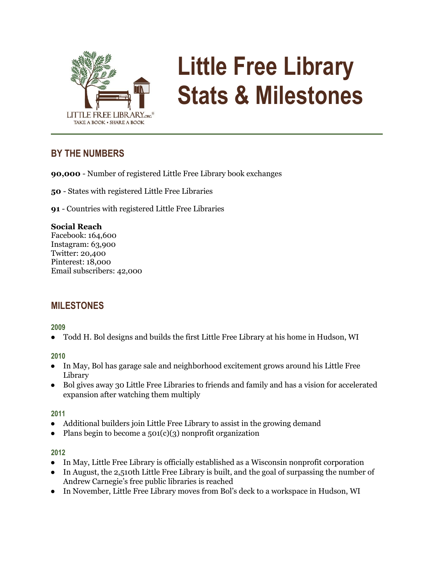

# **Little Free Library Stats & Milestones**

# **BY THE NUMBERS**

**90,000** - Number of registered Little Free Library book exchanges

**50** - States with registered Little Free Libraries

**91** - Countries with registered Little Free Libraries

## **Social Reach**

Facebook: 164,600 Instagram: 63,900 Twitter: 20,400 Pinterest: 18,000 Email subscribers: 42,000

# **MILESTONES**

## **2009**

● Todd H. Bol designs and builds the first Little Free Library at his home in Hudson, WI

## **2010**

- In May, Bol has garage sale and neighborhood excitement grows around his Little Free Library
- Bol gives away 30 Little Free Libraries to friends and family and has a vision for accelerated expansion after watching them multiply

## **2011**

- Additional builders join Little Free Library to assist in the growing demand
- Plans begin to become a  $501(c)(3)$  nonprofit organization

## **2012**

- In May, Little Free Library is officially established as a Wisconsin nonprofit corporation
- In August, the 2,510th Little Free Library is built, and the goal of surpassing the number of Andrew Carnegie's free public libraries is reached
- In November, Little Free Library moves from Bol's deck to a workspace in Hudson, WI